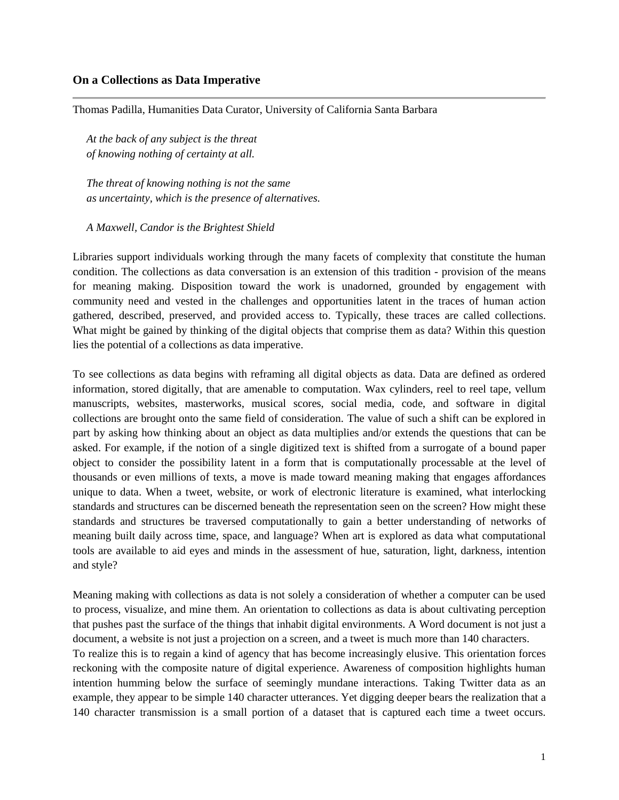# **On a Collections as Data Imperative**

Thomas Padilla, Humanities Data Curator, University of California Santa Barbara

*At the back of any subject is the threat of knowing nothing of certainty at all.* 

*The threat of knowing nothing is not the same as uncertainty, which is the presence of alternatives.*

*A Maxwell, Candor is the Brightest Shield*

Libraries support individuals working through the many facets of complexity that constitute the human condition. The collections as data conversation is an extension of this tradition - provision of the means for meaning making. Disposition toward the work is unadorned, grounded by engagement with community need and vested in the challenges and opportunities latent in the traces of human action gathered, described, preserved, and provided access to. Typically, these traces are called collections. What might be gained by thinking of the digital objects that comprise them as data? Within this question lies the potential of a collections as data imperative.

To see collections as data begins with reframing all digital objects as data. Data are defined as ordered information, stored digitally, that are amenable to computation. Wax cylinders, reel to reel tape, vellum manuscripts, websites, masterworks, musical scores, social media, code, and software in digital collections are brought onto the same field of consideration. The value of such a shift can be explored in part by asking how thinking about an object as data multiplies and/or extends the questions that can be asked. For example, if the notion of a single digitized text is shifted from a surrogate of a bound paper object to consider the possibility latent in a form that is computationally processable at the level of thousands or even millions of texts, a move is made toward meaning making that engages affordances unique to data. When a tweet, website, or work of electronic literature is examined, what interlocking standards and structures can be discerned beneath the representation seen on the screen? How might these standards and structures be traversed computationally to gain a better understanding of networks of meaning built daily across time, space, and language? When art is explored as data what computational tools are available to aid eyes and minds in the assessment of hue, saturation, light, darkness, intention and style?

Meaning making with collections as data is not solely a consideration of whether a computer can be used to process, visualize, and mine them. An orientation to collections as data is about cultivating perception that pushes past the surface of the things that inhabit digital environments. A Word document is not just a document, a website is not just a projection on a screen, and a tweet is much more than 140 characters. To realize this is to regain a kind of agency that has become increasingly elusive. This orientation forces reckoning with the composite nature of digital experience. Awareness of composition highlights human intention humming below the surface of seemingly mundane interactions. Taking Twitter data as an example, they appear to be simple 140 character utterances. Yet digging deeper bears the realization that a 140 character transmission is a small portion of a dataset that is captured each time a tweet occurs.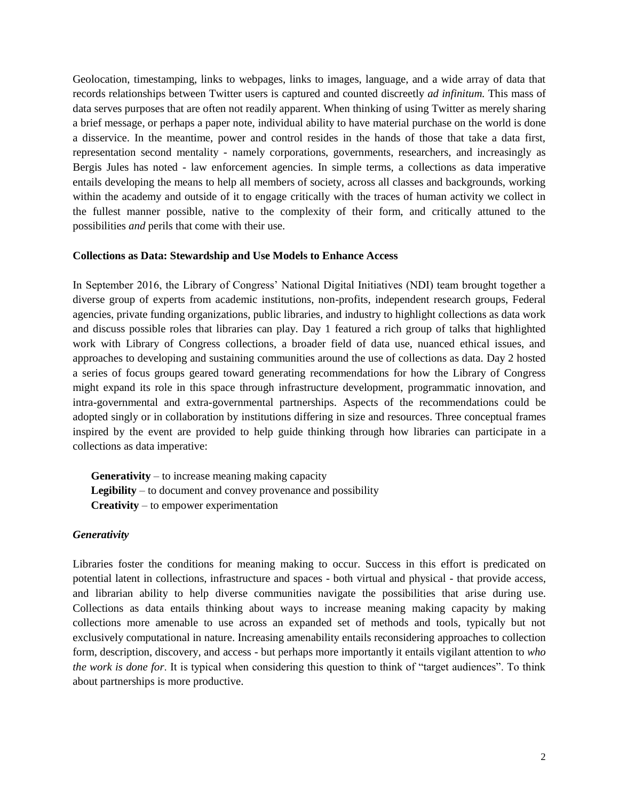Geolocation, timestamping, links to webpages, links to images, language, and a wide array of data that records relationships between Twitter users is captured and counted discreetly *ad infinitum.* This mass of data serves purposes that are often not readily apparent. When thinking of using Twitter as merely sharing a brief message, or perhaps a paper note, individual ability to have material purchase on the world is done a disservice. In the meantime, power and control resides in the hands of those that take a data first, representation second mentality - namely corporations, governments, researchers, and increasingly as Bergis Jules has noted - law enforcement agencies. In simple terms, a collections as data imperative entails developing the means to help all members of society, across all classes and backgrounds, working within the academy and outside of it to engage critically with the traces of human activity we collect in the fullest manner possible, native to the complexity of their form, and critically attuned to the possibilities *and* perils that come with their use.

# **Collections as Data: Stewardship and Use Models to Enhance Access**

In September 2016, the Library of Congress' National Digital Initiatives (NDI) team brought together a diverse group of experts from academic institutions, non-profits, independent research groups, Federal agencies, private funding organizations, public libraries, and industry to highlight collections as data work and discuss possible roles that libraries can play. Day 1 featured a rich group of talks that highlighted work with Library of Congress collections, a broader field of data use, nuanced ethical issues, and approaches to developing and sustaining communities around the use of collections as data. Day 2 hosted a series of focus groups geared toward generating recommendations for how the Library of Congress might expand its role in this space through infrastructure development, programmatic innovation, and intra-governmental and extra-governmental partnerships. Aspects of the recommendations could be adopted singly or in collaboration by institutions differing in size and resources. Three conceptual frames inspired by the event are provided to help guide thinking through how libraries can participate in a collections as data imperative:

**Generativity** – to increase meaning making capacity **Legibility** – to document and convey provenance and possibility **Creativity** – to empower experimentation

#### *Generativity*

Libraries foster the conditions for meaning making to occur. Success in this effort is predicated on potential latent in collections, infrastructure and spaces - both virtual and physical - that provide access, and librarian ability to help diverse communities navigate the possibilities that arise during use. Collections as data entails thinking about ways to increase meaning making capacity by making collections more amenable to use across an expanded set of methods and tools, typically but not exclusively computational in nature. Increasing amenability entails reconsidering approaches to collection form, description, discovery, and access - but perhaps more importantly it entails vigilant attention to *who the work is done for*. It is typical when considering this question to think of "target audiences". To think about partnerships is more productive.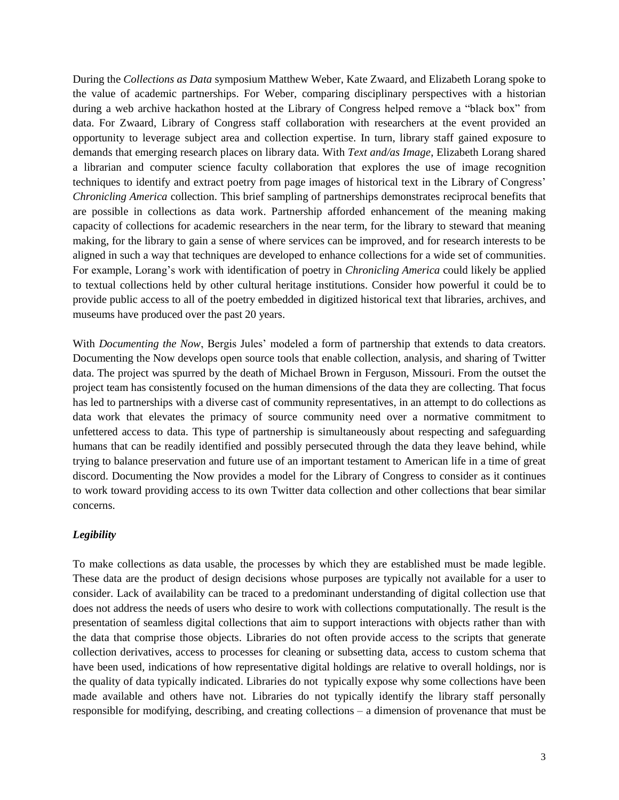During the *Collections as Data* symposium Matthew Weber, Kate Zwaard, and Elizabeth Lorang spoke to the value of academic partnerships. For Weber, comparing disciplinary perspectives with a historian during a web archive hackathon hosted at the Library of Congress helped remove a "black box" from data. For Zwaard, Library of Congress staff collaboration with researchers at the event provided an opportunity to leverage subject area and collection expertise. In turn, library staff gained exposure to demands that emerging research places on library data. With *Text and/as Image*, Elizabeth Lorang shared a librarian and computer science faculty collaboration that explores the use of image recognition techniques to identify and extract poetry from page images of historical text in the Library of Congress' *Chronicling America* collection. This brief sampling of partnerships demonstrates reciprocal benefits that are possible in collections as data work. Partnership afforded enhancement of the meaning making capacity of collections for academic researchers in the near term, for the library to steward that meaning making, for the library to gain a sense of where services can be improved, and for research interests to be aligned in such a way that techniques are developed to enhance collections for a wide set of communities. For example, Lorang's work with identification of poetry in *Chronicling America* could likely be applied to textual collections held by other cultural heritage institutions. Consider how powerful it could be to provide public access to all of the poetry embedded in digitized historical text that libraries, archives, and museums have produced over the past 20 years.

With *Documenting the Now*, Bergis Jules' modeled a form of partnership that extends to data creators. Documenting the Now develops open source tools that enable collection, analysis, and sharing of Twitter data. The project was spurred by the death of Michael Brown in Ferguson, Missouri. From the outset the project team has consistently focused on the human dimensions of the data they are collecting. That focus has led to partnerships with a diverse cast of community representatives, in an attempt to do collections as data work that elevates the primacy of source community need over a normative commitment to unfettered access to data. This type of partnership is simultaneously about respecting and safeguarding humans that can be readily identified and possibly persecuted through the data they leave behind, while trying to balance preservation and future use of an important testament to American life in a time of great discord. Documenting the Now provides a model for the Library of Congress to consider as it continues to work toward providing access to its own Twitter data collection and other collections that bear similar concerns.

# *Legibility*

To make collections as data usable, the processes by which they are established must be made legible. These data are the product of design decisions whose purposes are typically not available for a user to consider. Lack of availability can be traced to a predominant understanding of digital collection use that does not address the needs of users who desire to work with collections computationally. The result is the presentation of seamless digital collections that aim to support interactions with objects rather than with the data that comprise those objects. Libraries do not often provide access to the scripts that generate collection derivatives, access to processes for cleaning or subsetting data, access to custom schema that have been used, indications of how representative digital holdings are relative to overall holdings, nor is the quality of data typically indicated. Libraries do not typically expose why some collections have been made available and others have not. Libraries do not typically identify the library staff personally responsible for modifying, describing, and creating collections – a dimension of provenance that must be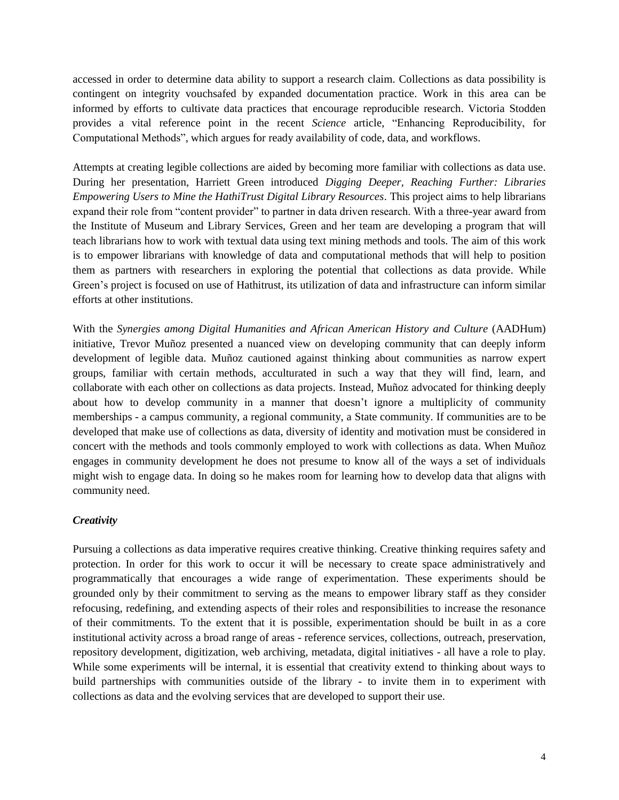accessed in order to determine data ability to support a research claim. Collections as data possibility is contingent on integrity vouchsafed by expanded documentation practice. Work in this area can be informed by efforts to cultivate data practices that encourage reproducible research. Victoria Stodden provides a vital reference point in the recent *Science* article, "Enhancing Reproducibility, for Computational Methods", which argues for ready availability of code, data, and workflows.

Attempts at creating legible collections are aided by becoming more familiar with collections as data use. During her presentation, Harriett Green introduced *Digging Deeper, Reaching Further: Libraries Empowering Users to Mine the HathiTrust Digital Library Resources*. This project aims to help librarians expand their role from "content provider" to partner in data driven research. With a three-year award from the Institute of Museum and Library Services, Green and her team are developing a program that will teach librarians how to work with textual data using text mining methods and tools. The aim of this work is to empower librarians with knowledge of data and computational methods that will help to position them as partners with researchers in exploring the potential that collections as data provide. While Green's project is focused on use of Hathitrust, its utilization of data and infrastructure can inform similar efforts at other institutions.

With the *Synergies among Digital Humanities and African American History and Culture* (AADHum) initiative, Trevor Muñoz presented a nuanced view on developing community that can deeply inform development of legible data. Muñoz cautioned against thinking about communities as narrow expert groups, familiar with certain methods, acculturated in such a way that they will find, learn, and collaborate with each other on collections as data projects. Instead, Muñoz advocated for thinking deeply about how to develop community in a manner that doesn't ignore a multiplicity of community memberships - a campus community, a regional community, a State community. If communities are to be developed that make use of collections as data, diversity of identity and motivation must be considered in concert with the methods and tools commonly employed to work with collections as data. When Muñoz engages in community development he does not presume to know all of the ways a set of individuals might wish to engage data. In doing so he makes room for learning how to develop data that aligns with community need.

# *Creativity*

Pursuing a collections as data imperative requires creative thinking. Creative thinking requires safety and protection. In order for this work to occur it will be necessary to create space administratively and programmatically that encourages a wide range of experimentation. These experiments should be grounded only by their commitment to serving as the means to empower library staff as they consider refocusing, redefining, and extending aspects of their roles and responsibilities to increase the resonance of their commitments. To the extent that it is possible, experimentation should be built in as a core institutional activity across a broad range of areas - reference services, collections, outreach, preservation, repository development, digitization, web archiving, metadata, digital initiatives - all have a role to play. While some experiments will be internal, it is essential that creativity extend to thinking about ways to build partnerships with communities outside of the library - to invite them in to experiment with collections as data and the evolving services that are developed to support their use.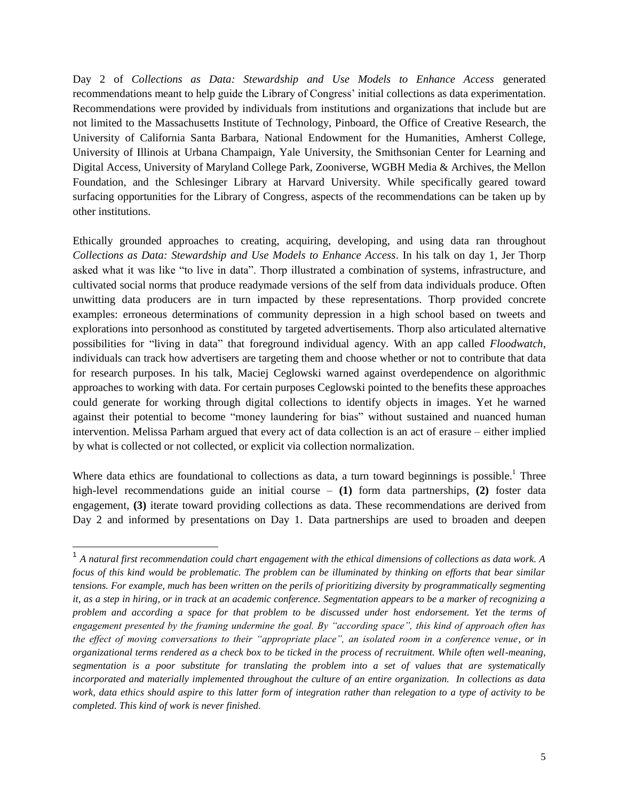Day 2 of *Collections as Data: Stewardship and Use Models to Enhance Access* generated recommendations meant to help guide the Library of Congress' initial collections as data experimentation. Recommendations were provided by individuals from institutions and organizations that include but are not limited to the Massachusetts Institute of Technology, Pinboard, the Office of Creative Research, the University of California Santa Barbara, National Endowment for the Humanities, Amherst College, University of Illinois at Urbana Champaign, Yale University, the Smithsonian Center for Learning and Digital Access, University of Maryland College Park, Zooniverse, WGBH Media & Archives, the Mellon Foundation, and the Schlesinger Library at Harvard University. While specifically geared toward surfacing opportunities for the Library of Congress, aspects of the recommendations can be taken up by other institutions.

Ethically grounded approaches to creating, acquiring, developing, and using data ran throughout *Collections as Data: Stewardship and Use Models to Enhance Access*. In his talk on day 1, Jer Thorp asked what it was like "to live in data". Thorp illustrated a combination of systems, infrastructure, and cultivated social norms that produce readymade versions of the self from data individuals produce. Often unwitting data producers are in turn impacted by these representations. Thorp provided concrete examples: erroneous determinations of community depression in a high school based on tweets and explorations into personhood as constituted by targeted advertisements. Thorp also articulated alternative possibilities for "living in data" that foreground individual agency. With an app called *Floodwatch*, individuals can track how advertisers are targeting them and choose whether or not to contribute that data for research purposes. In his talk, Maciej Ceglowski warned against overdependence on algorithmic approaches to working with data. For certain purposes Ceglowski pointed to the benefits these approaches could generate for working through digital collections to identify objects in images. Yet he warned against their potential to become "money laundering for bias" without sustained and nuanced human intervention. Melissa Parham argued that every act of data collection is an act of erasure – either implied by what is collected or not collected, or explicit via collection normalization.

Where data ethics are foundational to collections as data, a turn toward beginnings is possible.<sup>1</sup> Three high-level recommendations guide an initial course – **(1)** form data partnerships, **(2)** foster data engagement, **(3)** iterate toward providing collections as data. These recommendations are derived from Day 2 and informed by presentations on Day 1. Data partnerships are used to broaden and deepen

<sup>&</sup>lt;sup>1</sup> A natural first recommendation could chart engagement with the ethical dimensions of collections as data work. A *focus of this kind would be problematic. The problem can be illuminated by thinking on efforts that bear similar tensions. For example, much has been written on the perils of prioritizing diversity by programmatically segmenting it, as a step in hiring, or in track at an academic conference. Segmentation appears to be a marker of recognizing a problem and according a space for that problem to be discussed under host endorsement. Yet the terms of engagement presented by the framing undermine the goal. By "according space", this kind of approach often has the effect of moving conversations to their "appropriate place", an isolated room in a conference venue, or in organizational terms rendered as a check box to be ticked in the process of recruitment. While often well-meaning, segmentation is a poor substitute for translating the problem into a set of values that are systematically incorporated and materially implemented throughout the culture of an entire organization. In collections as data work, data ethics should aspire to this latter form of integration rather than relegation to a type of activity to be completed. This kind of work is never finished.*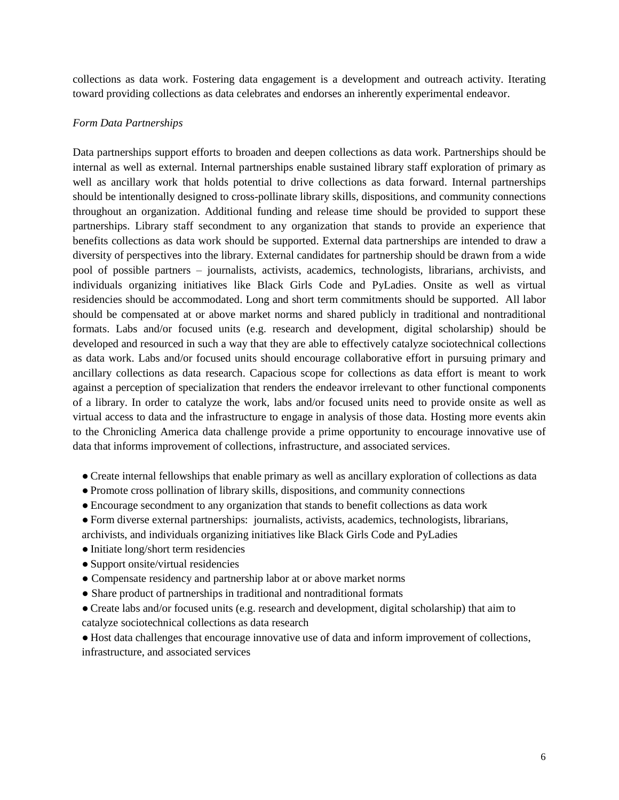collections as data work. Fostering data engagement is a development and outreach activity. Iterating toward providing collections as data celebrates and endorses an inherently experimental endeavor.

# *Form Data Partnerships*

Data partnerships support efforts to broaden and deepen collections as data work. Partnerships should be internal as well as external. Internal partnerships enable sustained library staff exploration of primary as well as ancillary work that holds potential to drive collections as data forward. Internal partnerships should be intentionally designed to cross-pollinate library skills, dispositions, and community connections throughout an organization. Additional funding and release time should be provided to support these partnerships. Library staff secondment to any organization that stands to provide an experience that benefits collections as data work should be supported. External data partnerships are intended to draw a diversity of perspectives into the library. External candidates for partnership should be drawn from a wide pool of possible partners – journalists, activists, academics, technologists, librarians, archivists, and individuals organizing initiatives like Black Girls Code and PyLadies. Onsite as well as virtual residencies should be accommodated. Long and short term commitments should be supported. All labor should be compensated at or above market norms and shared publicly in traditional and nontraditional formats. Labs and/or focused units (e.g. research and development, digital scholarship) should be developed and resourced in such a way that they are able to effectively catalyze sociotechnical collections as data work. Labs and/or focused units should encourage collaborative effort in pursuing primary and ancillary collections as data research. Capacious scope for collections as data effort is meant to work against a perception of specialization that renders the endeavor irrelevant to other functional components of a library. In order to catalyze the work, labs and/or focused units need to provide onsite as well as virtual access to data and the infrastructure to engage in analysis of those data. Hosting more events akin to the Chronicling America data challenge provide a prime opportunity to encourage innovative use of data that informs improvement of collections, infrastructure, and associated services.

- Create internal fellowships that enable primary as well as ancillary exploration of collections as data
- Promote cross pollination of library skills, dispositions, and community connections
- Encourage secondment to any organization that stands to benefit collections as data work
- Form diverse external partnerships: journalists, activists, academics, technologists, librarians,

archivists, and individuals organizing initiatives like Black Girls Code and PyLadies

- Initiate long/short term residencies
- Support onsite/virtual residencies
- Compensate residency and partnership labor at or above market norms
- Share product of partnerships in traditional and nontraditional formats
- Create labs and/or focused units (e.g. research and development, digital scholarship) that aim to catalyze sociotechnical collections as data research

● Host data challenges that encourage innovative use of data and inform improvement of collections, infrastructure, and associated services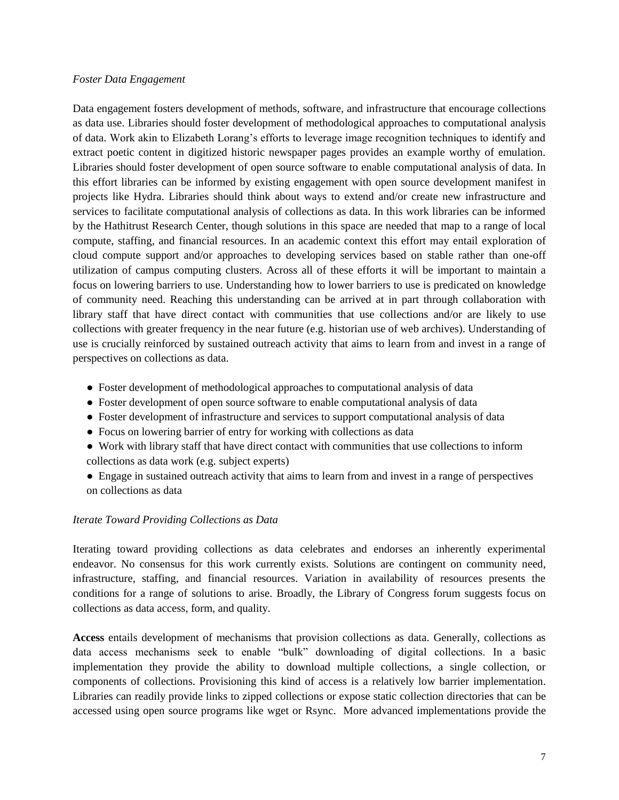#### *Foster Data Engagement*

Data engagement fosters development of methods, software, and infrastructure that encourage collections as data use. Libraries should foster development of methodological approaches to computational analysis of data. Work akin to Elizabeth Lorang's efforts to leverage image recognition techniques to identify and extract poetic content in digitized historic newspaper pages provides an example worthy of emulation. Libraries should foster development of open source software to enable computational analysis of data. In this effort libraries can be informed by existing engagement with open source development manifest in projects like Hydra. Libraries should think about ways to extend and/or create new infrastructure and services to facilitate computational analysis of collections as data. In this work libraries can be informed by the Hathitrust Research Center, though solutions in this space are needed that map to a range of local compute, staffing, and financial resources. In an academic context this effort may entail exploration of cloud compute support and/or approaches to developing services based on stable rather than one-off utilization of campus computing clusters. Across all of these efforts it will be important to maintain a focus on lowering barriers to use. Understanding how to lower barriers to use is predicated on knowledge of community need. Reaching this understanding can be arrived at in part through collaboration with library staff that have direct contact with communities that use collections and/or are likely to use collections with greater frequency in the near future (e.g. historian use of web archives). Understanding of use is crucially reinforced by sustained outreach activity that aims to learn from and invest in a range of perspectives on collections as data.

- Foster development of methodological approaches to computational analysis of data
- Foster development of open source software to enable computational analysis of data
- Foster development of infrastructure and services to support computational analysis of data
- Focus on lowering barrier of entry for working with collections as data
- Work with library staff that have direct contact with communities that use collections to inform collections as data work (e.g. subject experts)
- Engage in sustained outreach activity that aims to learn from and invest in a range of perspectives on collections as data

# *Iterate Toward Providing Collections as Data*

Iterating toward providing collections as data celebrates and endorses an inherently experimental endeavor. No consensus for this work currently exists. Solutions are contingent on community need, infrastructure, staffing, and financial resources. Variation in availability of resources presents the conditions for a range of solutions to arise. Broadly, the Library of Congress forum suggests focus on collections as data access, form, and quality.

**Access** entails development of mechanisms that provision collections as data. Generally, collections as data access mechanisms seek to enable "bulk" downloading of digital collections. In a basic implementation they provide the ability to download multiple collections, a single collection, or components of collections. Provisioning this kind of access is a relatively low barrier implementation. Libraries can readily provide links to zipped collections or expose static collection directories that can be accessed using open source programs like wget or Rsync. More advanced implementations provide the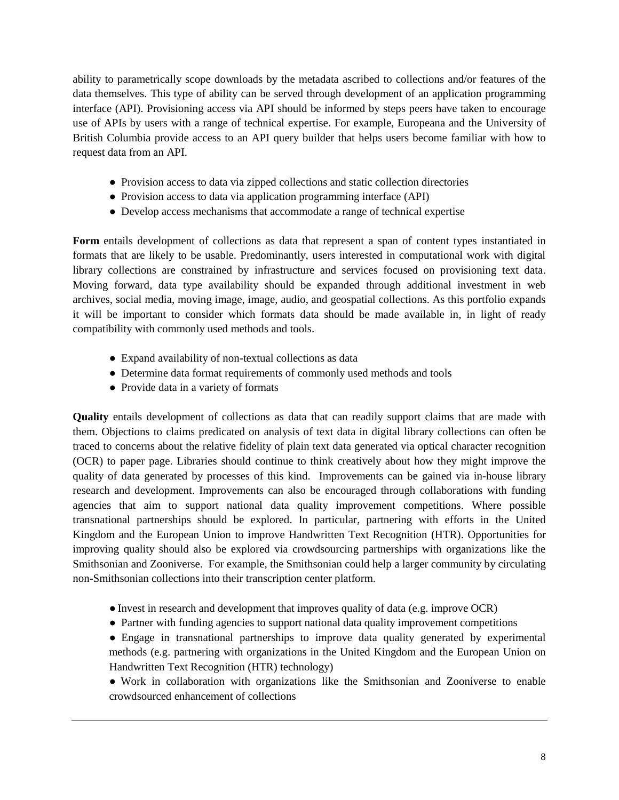ability to parametrically scope downloads by the metadata ascribed to collections and/or features of the data themselves. This type of ability can be served through development of an application programming interface (API). Provisioning access via API should be informed by steps peers have taken to encourage use of APIs by users with a range of technical expertise. For example, Europeana and the University of British Columbia provide access to an API query builder that helps users become familiar with how to request data from an API.

- Provision access to data via zipped collections and static collection directories
- Provision access to data via application programming interface (API)
- Develop access mechanisms that accommodate a range of technical expertise

Form entails development of collections as data that represent a span of content types instantiated in formats that are likely to be usable. Predominantly, users interested in computational work with digital library collections are constrained by infrastructure and services focused on provisioning text data. Moving forward, data type availability should be expanded through additional investment in web archives, social media, moving image, image, audio, and geospatial collections. As this portfolio expands it will be important to consider which formats data should be made available in, in light of ready compatibility with commonly used methods and tools.

- Expand availability of non-textual collections as data
- Determine data format requirements of commonly used methods and tools
- Provide data in a variety of formats

**Quality** entails development of collections as data that can readily support claims that are made with them. Objections to claims predicated on analysis of text data in digital library collections can often be traced to concerns about the relative fidelity of plain text data generated via optical character recognition (OCR) to paper page. Libraries should continue to think creatively about how they might improve the quality of data generated by processes of this kind. Improvements can be gained via in-house library research and development. Improvements can also be encouraged through collaborations with funding agencies that aim to support national data quality improvement competitions. Where possible transnational partnerships should be explored. In particular, partnering with efforts in the United Kingdom and the European Union to improve Handwritten Text Recognition (HTR). Opportunities for improving quality should also be explored via crowdsourcing partnerships with organizations like the Smithsonian and Zooniverse. For example, the Smithsonian could help a larger community by circulating non-Smithsonian collections into their transcription center platform.

- Invest in research and development that improves quality of data (e.g. improve OCR)
- Partner with funding agencies to support national data quality improvement competitions

● Engage in transnational partnerships to improve data quality generated by experimental methods (e.g. partnering with organizations in the United Kingdom and the European Union on Handwritten Text Recognition (HTR) technology)

● Work in collaboration with organizations like the Smithsonian and Zooniverse to enable crowdsourced enhancement of collections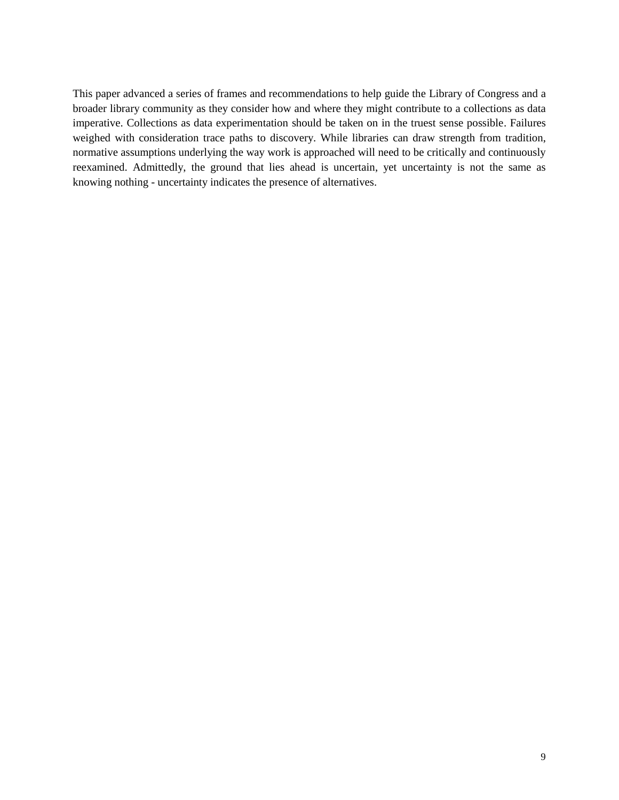This paper advanced a series of frames and recommendations to help guide the Library of Congress and a broader library community as they consider how and where they might contribute to a collections as data imperative. Collections as data experimentation should be taken on in the truest sense possible. Failures weighed with consideration trace paths to discovery. While libraries can draw strength from tradition, normative assumptions underlying the way work is approached will need to be critically and continuously reexamined. Admittedly, the ground that lies ahead is uncertain, yet uncertainty is not the same as knowing nothing - uncertainty indicates the presence of alternatives.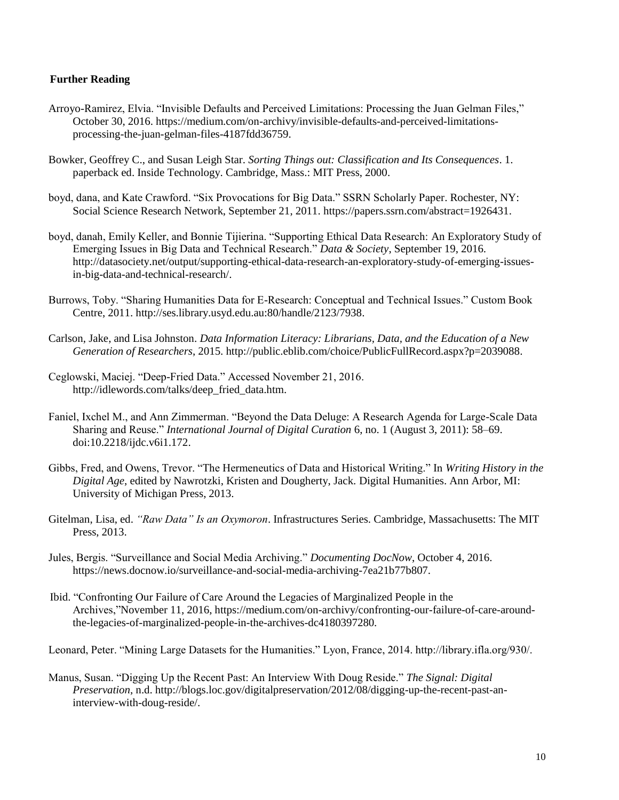# **Further Reading**

- Arroyo-Ramirez, Elvia. "Invisible Defaults and Perceived Limitations: Processing the Juan Gelman Files," October 30, 2016. [https://medium.com/on-archivy/invisible-defaults-and-perceived-limitations](https://medium.com/on-archivy/invisible-defaults-and-perceived-limitations-processing-the-juan-gelman-files-4187fdd36759)[processing-the-juan-gelman-files-4187fdd36759.](https://medium.com/on-archivy/invisible-defaults-and-perceived-limitations-processing-the-juan-gelman-files-4187fdd36759)
- Bowker, Geoffrey C., and Susan Leigh Star. *Sorting Things out: Classification and Its Consequences*. 1. paperback ed. Inside Technology. Cambridge, Mass.: MIT Press, 2000.
- boyd, dana, and Kate Crawford. "Six Provocations for Big Data." SSRN Scholarly Paper. Rochester, NY: Social Science Research Network, September 21, 2011. [https://papers.ssrn.com/abstract=1926431.](https://papers.ssrn.com/abstract=1926431)
- boyd, danah, Emily Keller, and Bonnie Tijierina. "Supporting Ethical Data Research: An Exploratory Study of Emerging Issues in Big Data and Technical Research." *Data & Society*, September 19, 2016. [http://datasociety.net/output/supporting-ethical-data-research-an-exploratory-study-of-emerging-issues](http://datasociety.net/output/supporting-ethical-data-research-an-exploratory-study-of-emerging-issues-in-big-data-and-technical-research/)[in-big-data-and-technical-research/.](http://datasociety.net/output/supporting-ethical-data-research-an-exploratory-study-of-emerging-issues-in-big-data-and-technical-research/)
- Burrows, Toby. "Sharing Humanities Data for E-Research: Conceptual and Technical Issues." Custom Book Centre, 2011. [http://ses.library.usyd.edu.au:80/handle/2123/7938.](http://ses.library.usyd.edu.au/handle/2123/7938)
- Carlson, Jake, and Lisa Johnston. *Data Information Literacy: Librarians, Data, and the Education of a New Generation of Researchers*, 2015. [http://public.eblib.com/choice/PublicFullRecord.aspx?p=2039088.](http://public.eblib.com/choice/PublicFullRecord.aspx?p=2039088)
- Ceglowski, Maciej. "Deep-Fried Data." Accessed November 21, 2016. [http://idlewords.com/talks/deep\\_fried\\_data.htm.](http://idlewords.com/talks/deep_fried_data.htm)
- Faniel, Ixchel M., and Ann Zimmerman. "Beyond the Data Deluge: A Research Agenda for Large-Scale Data Sharing and Reuse." *International Journal of Digital Curation* 6, no. 1 (August 3, 2011): 58–69. doi:10.2218/ijdc.v6i1.172.
- Gibbs, Fred, and Owens, Trevor. "The Hermeneutics of Data and Historical Writing." In *Writing History in the Digital Age*, edited by Nawrotzki, Kristen and Dougherty, Jack. Digital Humanities. Ann Arbor, MI: University of Michigan Press, 2013.
- Gitelman, Lisa, ed. *"Raw Data" Is an Oxymoron*. Infrastructures Series. Cambridge, Massachusetts: The MIT Press, 2013.
- Jules, Bergis. "Surveillance and Social Media Archiving." *Documenting DocNow*, October 4, 2016. https://news.docnow.io/surveillance-and-social-media-archiving-7ea21b77b807.
- Ibid. "Confronting Our Failure of Care Around the Legacies of Marginalized People in the Archives,"November 11, 2016, https://medium.com/on-archivy/confronting-our-failure-of-care-aroundthe-legacies-of-marginalized-people-in-the-archives-dc4180397280.

Leonard, Peter. "Mining Large Datasets for the Humanities." Lyon, France, 2014. http://library.ifla.org/930/.

Manus, Susan. "Digging Up the Recent Past: An Interview With Doug Reside." *The Signal: Digital Preservation*, n.d. http://blogs.loc.gov/digitalpreservation/2012/08/digging-up-the-recent-past-aninterview-with-doug-reside/.